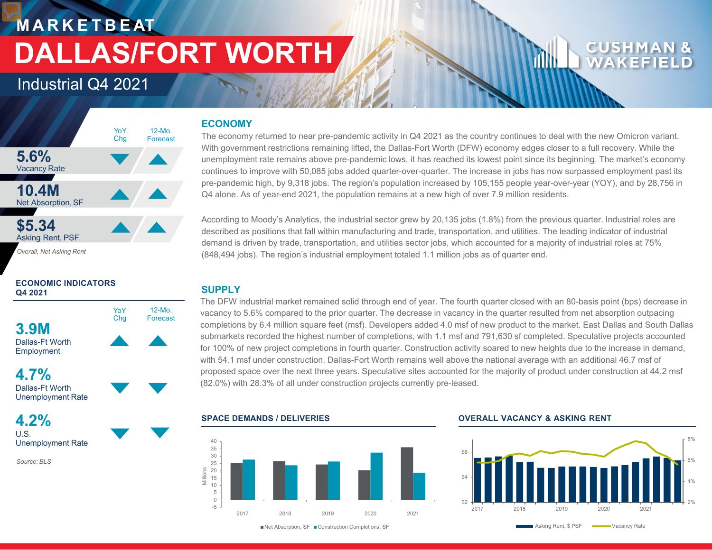# **M A R K E T B E AT DALLAS/FORT WORTH**

### Industrial Q4 2021



*Overall, Net Asking Rent*

### **ECONOMIC INDICATORS Q4 2021**



**4.7%** Dallas-Ft Worth Unemployment Rate

**4.2%** U.S. Unemployment Rate

*Source: BLS*

### **ECONOMY**

The economy returned to near pre-pandemic activity in Q4 2021 as the country continues to deal with the new Omicron variant. With government restrictions remaining lifted, the Dallas-Fort Worth (DFW) economy edges closer to a full recovery. While the unemployment rate remains above pre-pandemic lows, it has reached its lowest point since its beginning. The market's economy continues to improve with 50,085 jobs added quarter-over-quarter. The increase in jobs has now surpassed employment past its pre-pandemic high, by 9,318 jobs. The region's population increased by 105,155 people year-over-year (YOY), and by 28,756 in Q4 alone. As of year-end 2021, the population remains at a new high of over 7.9 million residents.

According to Moody's Analytics, the industrial sector grew by 20,135 jobs (1.8%) from the previous quarter. Industrial roles are described as positions that fall within manufacturing and trade, transportation, and utilities. The leading indicator of industrial demand is driven by trade, transportation, and utilities sector jobs, which accounted for a majority of industrial roles at 75% (848,494 jobs). The region's industrial employment totaled 1.1 million jobs as of quarter end.

### **SUPPLY**

The DFW industrial market remained solid through end of year. The fourth quarter closed with an 80-basis point (bps) decrease in vacancy to 5.6% compared to the prior quarter. The decrease in vacancy in the quarter resulted from net absorption outpacing completions by 6.4 million square feet (msf). Developers added 4.0 msf of new product to the market. East Dallas and South Dallas submarkets recorded the highest number of completions, with 1.1 msf and 791,630 sf completed. Speculative projects accounted for 100% of new project completions in fourth quarter. Construction activity soared to new heights due to the increase in demand, with 54.1 msf under construction. Dallas-Fort Worth remains well above the national average with an additional 46.7 msf of proposed space over the next three years. Speculative sites accounted for the majority of product under construction at 44.2 msf (82.0%) with 28.3% of all under construction projects currently pre-leased.



**SPACE DEMANDS / DELIVERIES OVERALL VACANCY & ASKING RENT** 



Net Absorption, SF Construction Completions, SF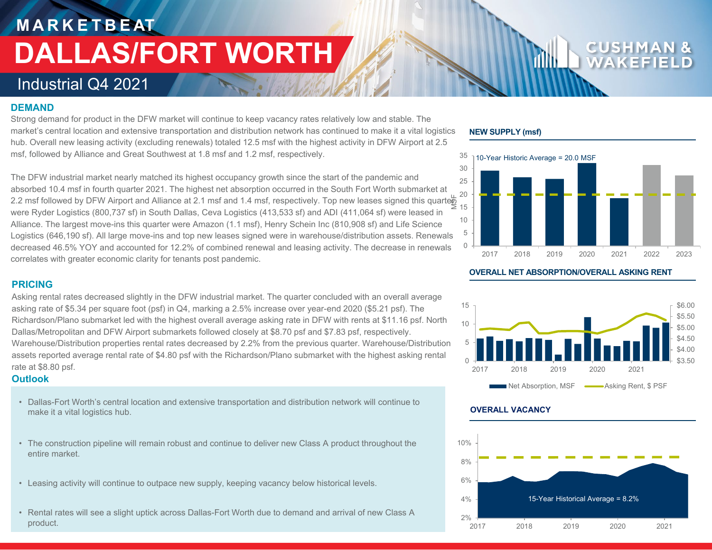# **M A R K E T B E AT DALLAS/FORT WORTH**

### Industrial Q4 2021

### **DEMAND**

Strong demand for product in the DFW market will continue to keep vacancy rates relatively low and stable. The market's central location and extensive transportation and distribution network has continued to make it a vital logistics hub. Overall new leasing activity (excluding renewals) totaled 12.5 msf with the highest activity in DFW Airport at 2.5 msf, followed by Alliance and Great Southwest at 1.8 msf and 1.2 msf, respectively.

The DFW industrial market nearly matched its highest occupancy growth since the start of the pandemic and absorbed 10.4 msf in fourth quarter 2021. The highest net absorption occurred in the South Fort Worth submarket at 2.2 msf followed by DFW Airport and Alliance at 2.1 msf and 1.4 msf, respectively. Top new leases signed this quarter 15 were Ryder Logistics (800,737 sf) in South Dallas, Ceva Logistics (413,533 sf) and ADI (411,064 sf) were leased in Alliance. The largest move-ins this quarter were Amazon (1.1 msf), Henry Schein Inc (810,908 sf) and Life Science Logistics (646,190 sf). All large move-ins and top new leases signed were in warehouse/distribution assets. Renewals decreased 46.5% YOY and accounted for 12.2% of combined renewal and leasing activity. The decrease in renewals correlates with greater economic clarity for tenants post pandemic.

### **PRICING**

Asking rental rates decreased slightly in the DFW industrial market. The quarter concluded with an overall average asking rate of \$5.34 per square foot (psf) in Q4, marking a 2.5% increase over year-end 2020 (\$5.21 psf). The Richardson/Plano submarket led with the highest overall average asking rate in DFW with rents at \$11.16 psf. North Dallas/Metropolitan and DFW Airport submarkets followed closely at \$8.70 psf and \$7.83 psf, respectively. Warehouse/Distribution properties rental rates decreased by 2.2% from the previous quarter. Warehouse/Distribution assets reported average rental rate of \$4.80 psf with the Richardson/Plano submarket with the highest asking rental rate at \$8.80 psf.

### **Outlook**

- Dallas-Fort Worth's central location and extensive transportation and distribution network will continue to make it a vital logistics hub.
- The construction pipeline will remain robust and continue to deliver new Class A product throughout the entire market.
- Leasing activity will continue to outpace new supply, keeping vacancy below historical levels.
- Rental rates will see a slight uptick across Dallas-Fort Worth due to demand and arrival of new Class A product.

### **NEW SUPPLY (msf)**



**OVERALL NET ABSORPTION/OVERALL ASKING RENT**



### **OVERALL VACANCY**

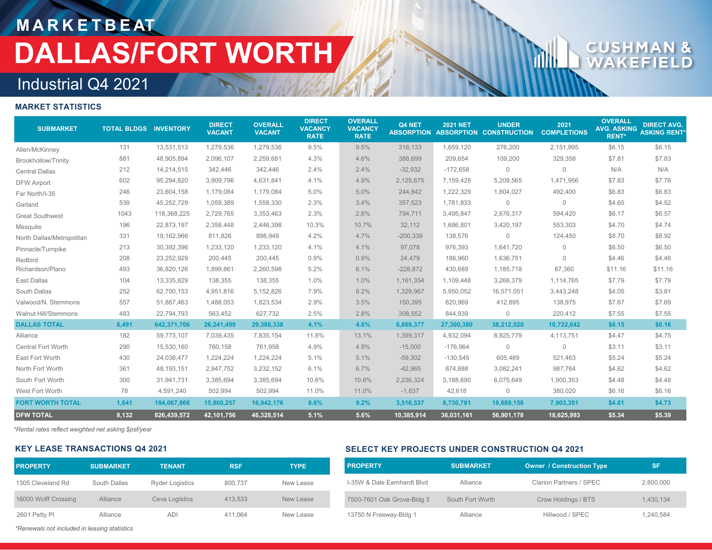# **M A R K E T B E AT DALLAS/FORT WORTH**

# C U

## Industrial Q4 2021

### **MARKET STATISTICS**

| <b>SUBMARKET</b>           | <b>TOTAL BLDGS INVENTORY</b> |              | <b>DIRECT</b><br><b>VACANT</b> | <b>OVERALL</b><br><b>VACANT</b> | <b>DIRECT</b><br><b>VACANCY</b><br><b>RATE</b> | <b>OVERALL</b><br><b>VACANCY</b><br><b>RATE</b> | Q4 NET<br><b>ABSORPTION</b> | <b>2021 NET</b> | <b>UNDER</b><br><b>ABSORPTION CONSTRUCTION</b> | 2021<br><b>COMPLETIONS</b> | <b>OVERALL</b><br><b>AVG. ASKING</b><br><b>RENT*</b> | <b>DIRECT AVG.</b><br><b>ASKING RENT</b> |
|----------------------------|------------------------------|--------------|--------------------------------|---------------------------------|------------------------------------------------|-------------------------------------------------|-----------------------------|-----------------|------------------------------------------------|----------------------------|------------------------------------------------------|------------------------------------------|
| Allen/McKinney             | 131                          | 13,531,513   | 1,279,536                      | 1,279,536                       | 9.5%                                           | 9.5%                                            | 316,133                     | 1,659,120       | 276,200                                        | 2,151,995                  | \$6.15                                               | \$6.15                                   |
| <b>Brookhollow/Trinity</b> | 881                          | 48,905,894   | 2,096,107                      | 2,259,681                       | 4.3%                                           | 4.6%                                            | 388,699                     | 209,654         | 109,200                                        | 329,358                    | \$7.81                                               | \$7.83                                   |
| <b>Central Dallas</b>      | 212                          | 14,214,515   | 342,446                        | 342,446                         | 2.4%                                           | 2.4%                                            | $-32,932$                   | $-172,658$      | $\mathbf{0}$                                   | $\Omega$                   | N/A                                                  | N/A                                      |
| <b>DFW Airport</b>         | 602                          | 95,294,820   | 3,909,796                      | 4,631,841                       | 4.1%                                           | 4.9%                                            | 2,125,675                   | 7,159,428       | 5,209,565                                      | 1,471,956                  | \$7.83                                               | \$7.76                                   |
| Far North/I-35             | 246                          | 23,604,158   | 1,179,084                      | 1,179,084                       | 5.0%                                           | 5.0%                                            | 244,842                     | 1,222,329       | 1,804,027                                      | 492,400                    | \$6.83                                               | \$6.83                                   |
| Garland                    | 539                          | 45,252,729   | 1,059,389                      | 1,558,330                       | 2.3%                                           | 3.4%                                            | 357,523                     | 1,781,833       | $\Omega$                                       | $\mathbf{0}$               | \$4.65                                               | \$4.52                                   |
| <b>Great Southwest</b>     | 1043                         | 118,368,225  | 2,729,765                      | 3,353,463                       | 2.3%                                           | 2.8%                                            | 794,711                     | 3,495,847       | 2,676,317                                      | 594,420                    | \$6.17                                               | \$6.57                                   |
| Mesquite                   | 196                          | 22,873,197   | 2,358,448                      | 2,446,398                       | 10.3%                                          | 10.7%                                           | 32,112                      | 1,686,801       | 3,420,197                                      | 553,303                    | \$4.70                                               | \$4.74                                   |
| North Dallas/Metropolitan  | 331                          | 19,162,966   | 811,826                        | 898,949                         | 4.2%                                           | 4.7%                                            | $-200,339$                  | 138,576         | $\Omega$                                       | 124,450                    | \$8.70                                               | \$8.92                                   |
| Pinnacle/Turnpike          | 213                          | 30,392,396   | 1,233,120                      | 1,233,120                       | 4.1%                                           | 4.1%                                            | 97,078                      | 976,393         | 1,641,720                                      | $\mathbf 0$                | \$6.50                                               | \$6.50                                   |
| Redbird                    | 208                          | 23,252,929   | 200,445                        | 200,445                         | 0.9%                                           | 0.9%                                            | 24,479                      | 186,960         | 1,636,751                                      | $\mathbf{0}$               | \$4.46                                               | \$4.46                                   |
| Richardson/Plano           | 493                          | 36,820,126   | 1,899,861                      | 2,260,598                       | 5.2%                                           | 6.1%                                            | $-228,872$                  | 430,689         | 1,185,718                                      | 87,360                     | \$11.16                                              | \$11.16                                  |
| East Dallas                | 104                          | 13,335,829   | 138,355                        | 138,355                         | 1.0%                                           | 1.0%                                            | 1,161,354                   | 1,109,448       | 3,268,379                                      | 1,114,765                  | \$7.79                                               | \$7.79                                   |
| South Dallas               | 252                          | 62,700,153   | 4,951,816                      | 5,152,826                       | 7.9%                                           | 8.2%                                            | 1,329,967                   | 5,950,052       | 16,571,051                                     | 3,443,248                  | \$4.05                                               | \$3.81                                   |
| Valwood/N. Stemmons        | 557                          | 51,867,463   | 1,488,053                      | 1,823,534                       | 2.9%                                           | 3.5%                                            | 150,395                     | 620,969         | 412,895                                        | 138,975                    | \$7.67                                               | \$7.69                                   |
| Walnut Hill/Stemmons       | 483                          | 22,794,793   | 563,452                        | 627,732                         | 2.5%                                           | 2.8%                                            | 308,552                     | 844,939         | $\mathbf{0}$                                   | 220,412                    | \$7.55                                               | \$7.55                                   |
| <b>DALLAS TOTAL</b>        | 6,491                        | 642,371,706  | 26,241,499                     | 29,386,338                      | 4.1%                                           | 4.6%                                            | 6,869,377                   | 27,300,380      | 38,212,020                                     | 10,722,642                 | \$6.15                                               | \$6.16                                   |
| Alliance                   | 182                          | 59,773,107   | 7,039,435                      | 7,835,154                       | 11.8%                                          | 13.1%                                           | 1,399,317                   | 4,932,094       | 8,925,779                                      | 4,113,751                  | \$4.47                                               | \$4.75                                   |
| <b>Central Fort Worth</b>  | 290                          | 15,530,160   | 760,158                        | 761,958                         | 4.9%                                           | 4.9%                                            | $-15,000$                   | $-176,964$      | $\Omega$                                       | $\Omega$                   | \$3.11                                               | \$3.11                                   |
| East Fort Worth            | 430                          | 24,038,477   | 1,224,224                      | 1,224,224                       | 5.1%                                           | 5.1%                                            | $-59,302$                   | $-130,545$      | 605,489                                        | 521,463                    | \$5.24                                               | \$5.24                                   |
| North Fort Worth           | 361                          | 48, 193, 151 | 2,947,752                      | 3,232,152                       | 6.1%                                           | 6.7%                                            | $-42,965$                   | 874,888         | 3,082,241                                      | 987,764                    | \$4.62                                               | \$4.62                                   |
| South Fort Worth           | 300                          | 31,941,731   | 3,385,694                      | 3,385,694                       | 10.6%                                          | 10.6%                                           | 2,236,324                   | 3,188,690       | 6,075,649                                      | 1,900,353                  | \$4.48                                               | \$4.48                                   |
| West Fort Worth            | 78                           | 4,591,240    | 502,994                        | 502,994                         | 11.0%                                          | 11.0%                                           | $-1,837$                    | 42,618          | $\mathbf{0}$                                   | 380,020                    | \$6.16                                               | \$6.16                                   |
| <b>FORT WORTH TOTAL</b>    | 1,641                        | 184,067,866  | 15,860,257                     | 16,942,176                      | 8.6%                                           | 9.2%                                            | 3,516,537                   | 8,730,781       | 18,689,158                                     | 7,903,351                  | \$4.61                                               | \$4.73                                   |
| <b>DFW TOTAL</b>           | 8,132                        | 826,439,572  | 42,101,756                     | 46,328,514                      | 5.1%                                           | 5.6%                                            | 10,385,914                  | 36,031,161      | 56,901,178                                     | 18,625,993                 | \$5.34                                               | \$5.39                                   |

*\*Rental rates reflect weighted net asking \$psf/year*

### **KEY LEASE TRANSACTIONS Q4 2021**

| <b>PROPERTY</b>      | <b>SUBMARKET</b> | <b>TENANT</b>          | <b>RSF</b> | <b>TYPE</b> |
|----------------------|------------------|------------------------|------------|-------------|
| 1305 Cleveland Rd    | South Dallas     | <b>Ryder Logistics</b> | 800.737    | New Lease   |
| 16000 Wolff Crossing | Alliance         | Ceva Logistics         | 413.533    | New Lease   |
| 2601 Petty PI        | Alliance         | <b>ADI</b>             | 411.064    | New Lease   |

### **SELECT KEY PROJECTS UNDER CONSTRUCTION Q4 2021**

| <b>PROPERTY</b>             | <b>SUBMARKET</b> | Owner / Construction Type      | <b>SF</b> |
|-----------------------------|------------------|--------------------------------|-----------|
| I-35W & Dale Earnhardt Blvd | Alliance         | <b>Clarion Partners / SPEC</b> | 2,600,000 |
| 7500-7601 Oak Grove-Bldg 3  | South Fort Worth | Crow Holdings / BTS            | 1.430.134 |
| 13750 N Freeway-Bldg 1      | Alliance         | Hillwood / SPEC                | 1.240.584 |

*\*Renewals not included in leasing statistics*